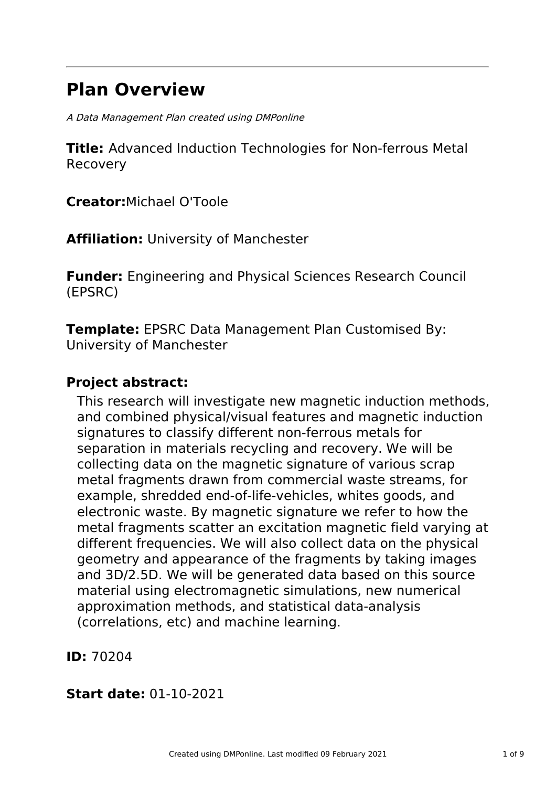# **Plan Overview**

A Data Management Plan created using DMPonline

**Title:** Advanced Induction Technologies for Non-ferrous Metal Recovery

**Creator:**Michael O'Toole

**Affiliation:** University of Manchester

**Funder:** Engineering and Physical Sciences Research Council (EPSRC)

**Template:** EPSRC Data Management Plan Customised By: University of Manchester

# **Project abstract:**

This research will investigate new magnetic induction methods, and combined physical/visual features and magnetic induction signatures to classify different non-ferrous metals for separation in materials recycling and recovery. We will be collecting data on the magnetic signature of various scrap metal fragments drawn from commercial waste streams, for example, shredded end-of-life-vehicles, whites goods, and electronic waste. By magnetic signature we refer to how the metal fragments scatter an excitation magnetic field varying at different frequencies. We will also collect data on the physical geometry and appearance of the fragments by taking images and 3D/2.5D. We will be generated data based on this source material using electromagnetic simulations, new numerical approximation methods, and statistical data-analysis (correlations, etc) and machine learning.

**ID:** 70204

# **Start date:** 01-10-2021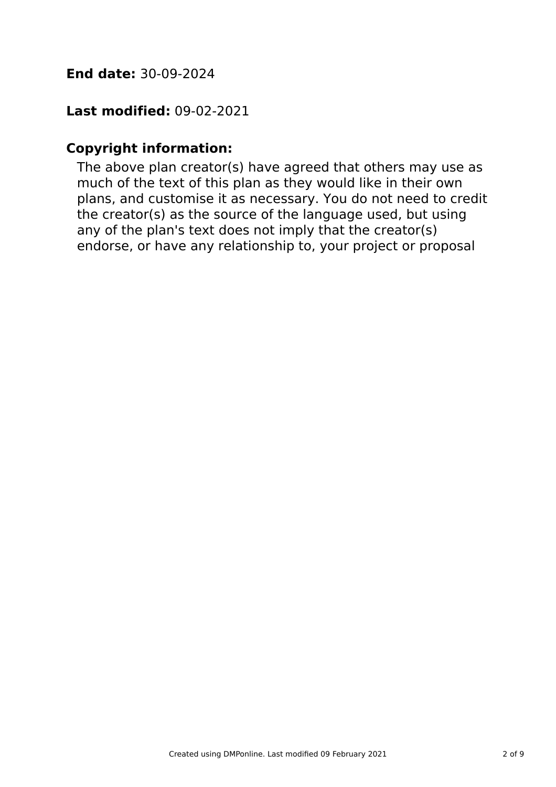# **End date:** 30-09-2024

# **Last modified:** 09-02-2021

# **Copyright information:**

The above plan creator(s) have agreed that others may use as much of the text of this plan as they would like in their own plans, and customise it as necessary. You do not need to credit the creator(s) as the source of the language used, but using any of the plan's text does not imply that the creator(s) endorse, or have any relationship to, your project or proposal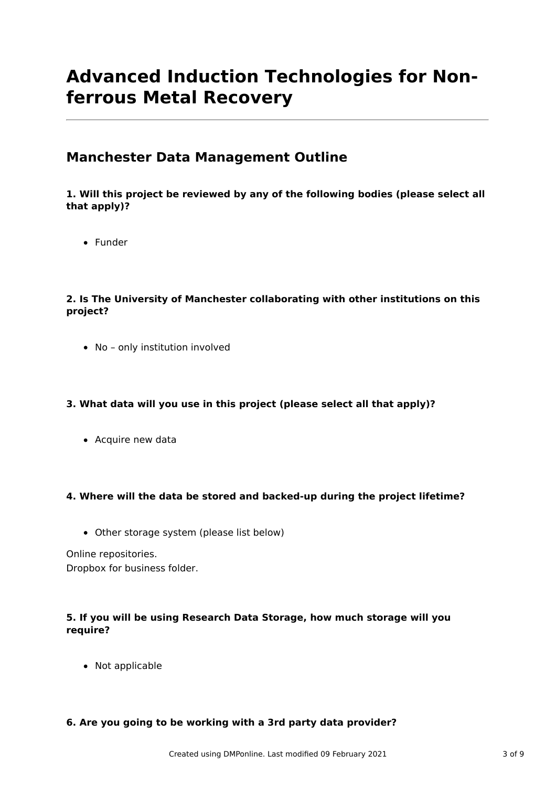# **Advanced Induction Technologies for Nonferrous Metal Recovery**

# **Manchester Data Management Outline**

### **1. Will this project be reviewed by any of the following bodies (please select all that apply)?**

• Funder

### **2. Is The University of Manchester collaborating with other institutions on this project?**

No – only institution involved

## **3. What data will you use in this project (please select all that apply)?**

• Acquire new data

### **4. Where will the data be stored and backed-up during the project lifetime?**

Other storage system (please list below)

Online repositories.

Dropbox for business folder.

## **5. If you will be using Research Data Storage, how much storage will you require?**

• Not applicable

## **6. Are you going to be working with a 3rd party data provider?**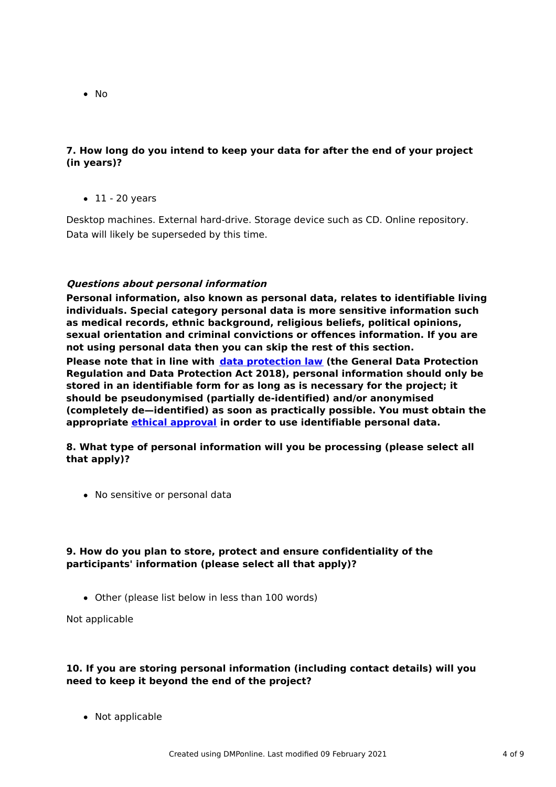• No

### **7. How long do you intend to keep your data for after the end of your project (in years)?**

 $\bullet$  11 - 20 years

Desktop machines. External hard-drive. Storage device such as CD. Online repository. Data will likely be superseded by this time.

### **Questions about personal information**

**Personal information, also known as personal data, relates to identifiable living individuals. Special category personal data is more sensitive information such as medical records, ethnic background, religious beliefs, political opinions, sexual orientation and criminal convictions or offences information. If you are not using personal data then you can skip the rest of this section.**

**Please note that in line with data [protection](http://www.staffnet.manchester.ac.uk/igo/data-protection/what-is-data-protection/) law (the General Data Protection Regulation and Data Protection Act 2018), personal information should only be stored in an identifiable form for as long as is necessary for the project; it should be pseudonymised (partially de-identified) and/or anonymised (completely de—identified) as soon as practically possible. You must obtain the appropriate ethical [approval](http://www.staffnet.manchester.ac.uk/services/rbess/governance/ethics/new-online-system-for-ethics-review-erm/) in order to use identifiable personal data.**

**8. What type of personal information will you be processing (please select all that apply)?**

No sensitive or personal data

### **9. How do you plan to store, protect and ensure confidentiality of the participants' information (please select all that apply)?**

Other (please list below in less than 100 words)

Not applicable

### **10. If you are storing personal information (including contact details) will you need to keep it beyond the end of the project?**

• Not applicable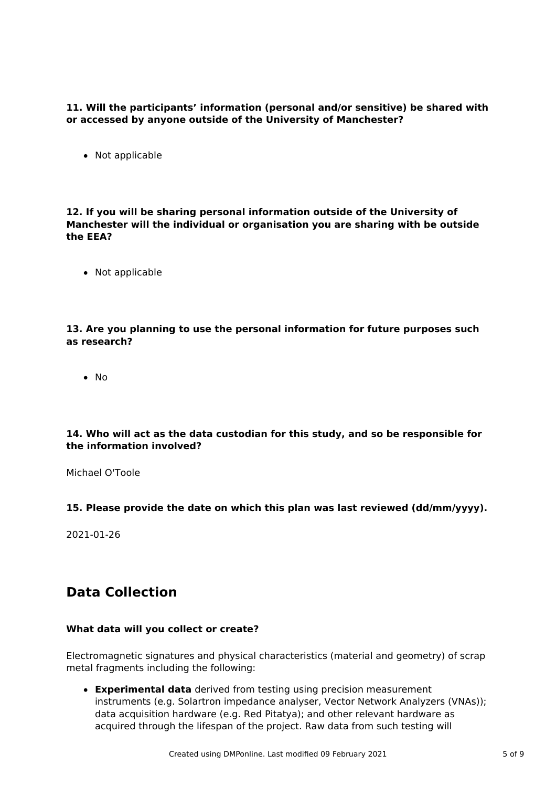**11. Will the participants' information (personal and/or sensitive) be shared with or accessed by anyone outside of the University of Manchester?**

• Not applicable

**12. If you will be sharing personal information outside of the University of Manchester will the individual or organisation you are sharing with be outside the EEA?**

• Not applicable

**13. Are you planning to use the personal information for future purposes such as research?**

 $\bullet$  No

#### **14. Who will act as the data custodian for this study, and so be responsible for the information involved?**

Michael O'Toole

#### **15. Please provide the date on which this plan was last reviewed (dd/mm/yyyy).**

2021-01-26

# **Data Collection**

#### **What data will you collect or create?**

Electromagnetic signatures and physical characteristics (material and geometry) of scrap metal fragments including the following:

**Experimental data** derived from testing using precision measurement instruments (e.g. Solartron impedance analyser, Vector Network Analyzers (VNAs)); data acquisition hardware (e.g. Red Pitatya); and other relevant hardware as acquired through the lifespan of the project. Raw data from such testing will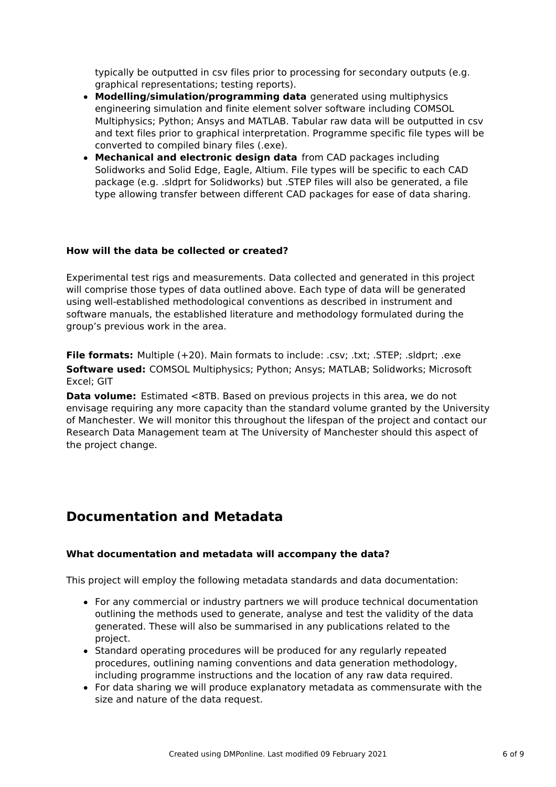typically be outputted in csv files prior to processing for secondary outputs (e.g. graphical representations; testing reports).

- **Modelling/simulation/programming data** generated using multiphysics engineering simulation and finite element solver software including COMSOL Multiphysics; Python; Ansys and MATLAB. Tabular raw data will be outputted in csv and text files prior to graphical interpretation. Programme specific file types will be converted to compiled binary files (.exe).
- **Mechanical and electronic design data** from CAD packages including Solidworks and Solid Edge, Eagle, Altium. File types will be specific to each CAD package (e.g. .sldprt for Solidworks) but .STEP files will also be generated, a file type allowing transfer between different CAD packages for ease of data sharing.

#### **How will the data be collected or created?**

Experimental test rigs and measurements. Data collected and generated in this project will comprise those types of data outlined above. Each type of data will be generated using well-established methodological conventions as described in instrument and software manuals, the established literature and methodology formulated during the group's previous work in the area.

**File formats:** Multiple (+20). Main formats to include: .csv; .txt; .STEP; .sldprt; .exe **Software used:** COMSOL Multiphysics; Python; Ansys; MATLAB; Solidworks; Microsoft Excel; GIT

**Data volume:** Estimated <8TB, Based on previous projects in this area, we do not envisage requiring any more capacity than the standard volume granted by the University of Manchester. We will monitor this throughout the lifespan of the project and contact our Research Data Management team at The University of Manchester should this aspect of the project change.

# **Documentation and Metadata**

### **What documentation and metadata will accompany the data?**

This project will employ the following metadata standards and data documentation:

- For any commercial or industry partners we will produce technical documentation outlining the methods used to generate, analyse and test the validity of the data generated. These will also be summarised in any publications related to the project.
- Standard operating procedures will be produced for any regularly repeated procedures, outlining naming conventions and data generation methodology, including programme instructions and the location of any raw data required.
- For data sharing we will produce explanatory metadata as commensurate with the size and nature of the data request.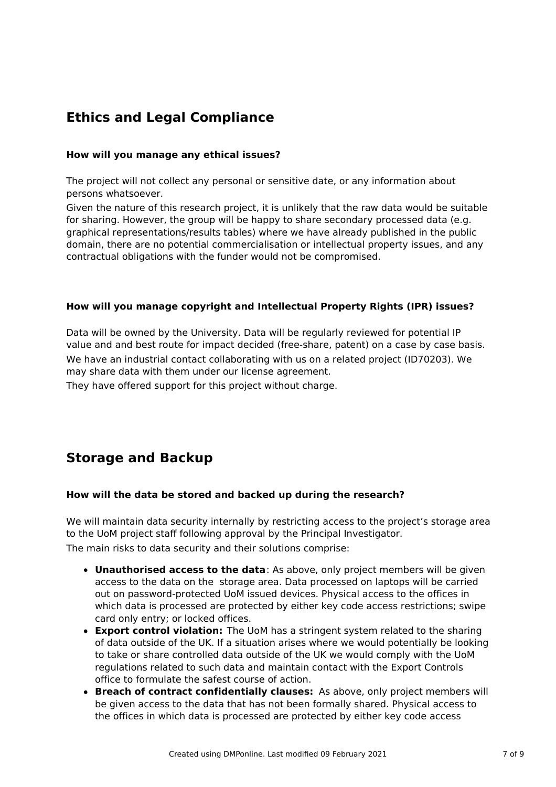# **Ethics and Legal Compliance**

### **How will you manage any ethical issues?**

The project will not collect any personal or sensitive date, or any information about persons whatsoever.

Given the nature of this research project, it is unlikely that the raw data would be suitable for sharing. However, the group will be happy to share secondary processed data (e.g. graphical representations/results tables) where we have already published in the public domain, there are no potential commercialisation or intellectual property issues, and any contractual obligations with the funder would not be compromised.

#### **How will you manage copyright and Intellectual Property Rights (IPR) issues?**

Data will be owned by the University. Data will be regularly reviewed for potential IP value and and best route for impact decided (free-share, patent) on a case by case basis. We have an industrial contact collaborating with us on a related project (ID70203). We may share data with them under our license agreement.

They have offered support for this project without charge.

# **Storage and Backup**

#### **How will the data be stored and backed up during the research?**

We will maintain data security internally by restricting access to the project's storage area to the UoM project staff following approval by the Principal Investigator. The main risks to data security and their solutions comprise:

- **Unauthorised access to the data**: As above, only project members will be given access to the data on the storage area. Data processed on laptops will be carried out on password-protected UoM issued devices. Physical access to the offices in which data is processed are protected by either key code access restrictions; swipe card only entry; or locked offices.
- **Export control violation:** The UoM has a stringent system related to the sharing of data outside of the UK. If a situation arises where we would potentially be looking to take or share controlled data outside of the UK we would comply with the UoM regulations related to such data and maintain contact with the Export Controls office to formulate the safest course of action.
- **Breach of contract confidentially clauses:** As above, only project members will be given access to the data that has not been formally shared. Physical access to the offices in which data is processed are protected by either key code access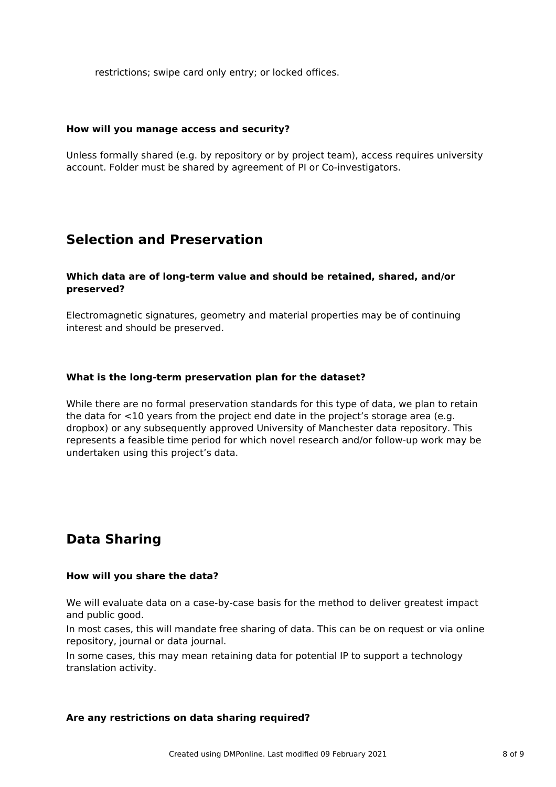restrictions; swipe card only entry; or locked offices.

#### **How will you manage access and security?**

Unless formally shared (e.g. by repository or by project team), access requires university account. Folder must be shared by agreement of PI or Co-investigators.

## **Selection and Preservation**

#### **Which data are of long-term value and should be retained, shared, and/or preserved?**

Electromagnetic signatures, geometry and material properties may be of continuing interest and should be preserved.

#### **What is the long-term preservation plan for the dataset?**

While there are no formal preservation standards for this type of data, we plan to retain the data for <10 years from the project end date in the project's storage area (e.g. dropbox) or any subsequently approved University of Manchester data repository. This represents a feasible time period for which novel research and/or follow-up work may be undertaken using this project's data.

# **Data Sharing**

#### **How will you share the data?**

We will evaluate data on a case-by-case basis for the method to deliver greatest impact and public good.

In most cases, this will mandate free sharing of data. This can be on request or via online repository, journal or data journal.

In some cases, this may mean retaining data for potential IP to support a technology translation activity.

#### **Are any restrictions on data sharing required?**